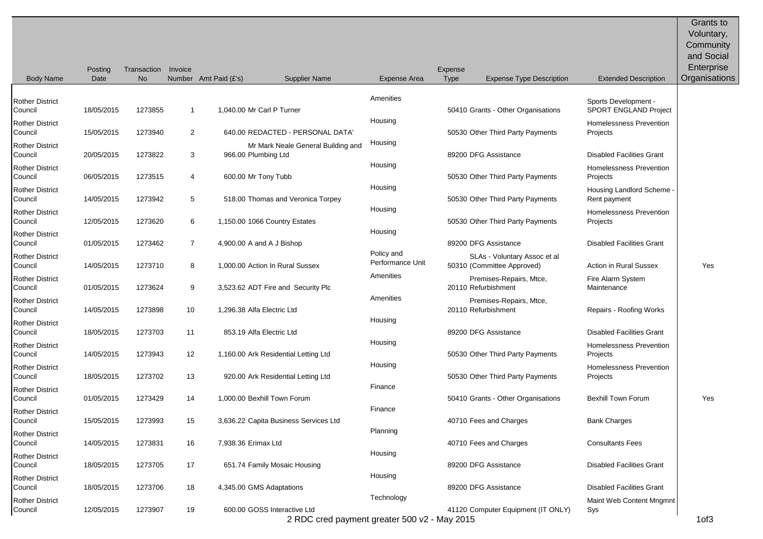| Amenities<br>Rother District<br>Sports Development -<br>SPORT ENGLAND Project<br>1,040.00 Mr Carl P Turner<br>50410 Grants - Other Organisations<br>18/05/2015<br>1273855<br>Council<br>$\mathbf{1}$<br>Housing<br>Homelessness Prevention<br>Rother District<br>$\overline{2}$<br>15/05/2015<br>1273940<br>640.00 REDACTED - PERSONAL DATA'<br>50530 Other Third Party Payments<br>Council<br>Projects<br>Housing<br><b>Rother District</b><br>Mr Mark Neale General Building and<br>89200 DFG Assistance<br><b>Disabled Facilities Grant</b><br>20/05/2015<br>1273822<br>3<br>966.00 Plumbing Ltd<br>Council<br>Housing<br><b>Rother District</b><br>Homelessness Prevention<br>06/05/2015<br>1273515<br>600.00 Mr Tony Tubb<br>50530 Other Third Party Payments<br>Council<br>4<br>Projects<br>Housing<br><b>Rother District</b><br>Housing Landlord Scheme<br>Council<br>14/05/2015<br>5<br>518.00 Thomas and Veronica Torpey<br>50530 Other Third Party Payments<br>1273942<br>Rent payment<br>Housing<br>Homelessness Prevention<br><b>Rother District</b><br>6<br>12/05/2015<br>1273620<br>1,150.00 1066 Country Estates<br>50530 Other Third Party Payments<br>Council<br>Projects<br>Housing<br><b>Rother District</b><br>$\overline{7}$<br>89200 DFG Assistance<br><b>Disabled Facilities Grant</b><br>01/05/2015<br>1273462<br>4,900.00 A and A J Bishop<br>Council<br>Policy and<br><b>Rother District</b><br>SLAs - Voluntary Assoc et al<br>Performance Unit<br>8<br>50310 (Committee Approved)<br><b>Action in Rural Sussex</b><br>14/05/2015<br>1273710<br>1.000.00 Action In Rural Sussex<br>Yes<br>Council<br>Amenities<br><b>Rother District</b><br>Premises-Repairs, Mtce,<br>Fire Alarm System<br>9<br>20110 Refurbishment<br>01/05/2015<br>1273624<br>3,523.62 ADT Fire and Security Plc<br>Maintenance<br>Council<br>Amenities<br><b>Rother District</b><br>Premises-Repairs, Mtce,<br>14/05/2015<br>1273898<br>10<br>1,296.38 Alfa Electric Ltd<br>20110 Refurbishment<br>Repairs - Roofing Works<br>Council<br>Housing<br><b>Rother District</b><br>89200 DFG Assistance<br>18/05/2015<br>1273703<br>11<br>853.19 Alfa Electric Ltd<br><b>Disabled Facilities Grant</b><br>Council<br>Housing<br>Homelessness Prevention<br>Rother District<br>12<br>Council<br>14/05/2015<br>1273943<br>1,160.00 Ark Residential Letting Ltd<br>50530 Other Third Party Payments<br>Projects<br>Housing<br><b>Rother District</b><br>Homelessness Prevention<br>18/05/2015<br>1273702<br>13<br>920.00 Ark Residential Letting Ltd<br>50530 Other Third Party Payments<br>Council<br>Projects<br>Finance<br><b>Rother District</b><br>1.000.00 Bexhill Town Forum<br><b>Bexhill Town Forum</b><br>01/05/2015<br>1273429<br>14<br>50410 Grants - Other Organisations<br>Yes<br>Council<br>Finance<br>Rother District<br>40710 Fees and Charges<br><b>Bank Charges</b><br>15/05/2015<br>1273993<br>15<br>3,636.22 Capita Business Services Ltd<br>Council<br>Planning<br><b>Rother District</b><br>16<br>7,938.36 Erimax Ltd<br>40710 Fees and Charges<br>14/05/2015<br>1273831<br><b>Consultants Fees</b><br>Council<br>Housing<br><b>Rother District</b><br>89200 DFG Assistance<br>Council<br>18/05/2015<br>1273705<br>17<br>651.74 Family Mosaic Housing<br><b>Disabled Facilities Grant</b><br>Housing<br><b>Rother District</b><br>89200 DFG Assistance<br><b>Disabled Facilities Grant</b><br>18/05/2015<br>1273706<br>18<br>4,345.00 GMS Adaptations<br>Council<br>Technology<br><b>Rother District</b><br>Maint Web Content Mngmnt<br>600.00 GOSS Interactive Ltd<br>Council<br>12/05/2015<br>1273907<br>41120 Computer Equipment (IT ONLY)<br>19<br>Sys<br>2 PDC and poument greater 500 v2 Mov 2015 | <b>Body Name</b> | <b>Posting</b><br>Date | Transaction<br><b>No</b> | Invoice | Number Amt Paid (£'s) | <b>Supplier Name</b> | Expense Area | Expense<br><b>Type</b> | <b>Expense Type Description</b> | <b>Extended Description</b> | <b>Grants to</b><br>Voluntary,<br>Community<br>and Social<br>Enterprise<br>Organisations |
|-----------------------------------------------------------------------------------------------------------------------------------------------------------------------------------------------------------------------------------------------------------------------------------------------------------------------------------------------------------------------------------------------------------------------------------------------------------------------------------------------------------------------------------------------------------------------------------------------------------------------------------------------------------------------------------------------------------------------------------------------------------------------------------------------------------------------------------------------------------------------------------------------------------------------------------------------------------------------------------------------------------------------------------------------------------------------------------------------------------------------------------------------------------------------------------------------------------------------------------------------------------------------------------------------------------------------------------------------------------------------------------------------------------------------------------------------------------------------------------------------------------------------------------------------------------------------------------------------------------------------------------------------------------------------------------------------------------------------------------------------------------------------------------------------------------------------------------------------------------------------------------------------------------------------------------------------------------------------------------------------------------------------------------------------------------------------------------------------------------------------------------------------------------------------------------------------------------------------------------------------------------------------------------------------------------------------------------------------------------------------------------------------------------------------------------------------------------------------------------------------------------------------------------------------------------------------------------------------------------------------------------------------------------------------------------------------------------------------------------------------------------------------------------------------------------------------------------------------------------------------------------------------------------------------------------------------------------------------------------------------------------------------------------------------------------------------------------------------------------------------------------------------------------------------------------------------------------------------------------------------------------------------------------------------------------------------------------------------------------------------------------------------------------------------------------------------------------------------------------------------------------------------------------------------------------------------------------------------------------------------------------------------------------------------------------------------------------------------|------------------|------------------------|--------------------------|---------|-----------------------|----------------------|--------------|------------------------|---------------------------------|-----------------------------|------------------------------------------------------------------------------------------|
|                                                                                                                                                                                                                                                                                                                                                                                                                                                                                                                                                                                                                                                                                                                                                                                                                                                                                                                                                                                                                                                                                                                                                                                                                                                                                                                                                                                                                                                                                                                                                                                                                                                                                                                                                                                                                                                                                                                                                                                                                                                                                                                                                                                                                                                                                                                                                                                                                                                                                                                                                                                                                                                                                                                                                                                                                                                                                                                                                                                                                                                                                                                                                                                                                                                                                                                                                                                                                                                                                                                                                                                                                                                                                                                       |                  |                        |                          |         |                       |                      |              |                        |                                 |                             |                                                                                          |
|                                                                                                                                                                                                                                                                                                                                                                                                                                                                                                                                                                                                                                                                                                                                                                                                                                                                                                                                                                                                                                                                                                                                                                                                                                                                                                                                                                                                                                                                                                                                                                                                                                                                                                                                                                                                                                                                                                                                                                                                                                                                                                                                                                                                                                                                                                                                                                                                                                                                                                                                                                                                                                                                                                                                                                                                                                                                                                                                                                                                                                                                                                                                                                                                                                                                                                                                                                                                                                                                                                                                                                                                                                                                                                                       |                  |                        |                          |         |                       |                      |              |                        |                                 |                             |                                                                                          |
|                                                                                                                                                                                                                                                                                                                                                                                                                                                                                                                                                                                                                                                                                                                                                                                                                                                                                                                                                                                                                                                                                                                                                                                                                                                                                                                                                                                                                                                                                                                                                                                                                                                                                                                                                                                                                                                                                                                                                                                                                                                                                                                                                                                                                                                                                                                                                                                                                                                                                                                                                                                                                                                                                                                                                                                                                                                                                                                                                                                                                                                                                                                                                                                                                                                                                                                                                                                                                                                                                                                                                                                                                                                                                                                       |                  |                        |                          |         |                       |                      |              |                        |                                 |                             |                                                                                          |
|                                                                                                                                                                                                                                                                                                                                                                                                                                                                                                                                                                                                                                                                                                                                                                                                                                                                                                                                                                                                                                                                                                                                                                                                                                                                                                                                                                                                                                                                                                                                                                                                                                                                                                                                                                                                                                                                                                                                                                                                                                                                                                                                                                                                                                                                                                                                                                                                                                                                                                                                                                                                                                                                                                                                                                                                                                                                                                                                                                                                                                                                                                                                                                                                                                                                                                                                                                                                                                                                                                                                                                                                                                                                                                                       |                  |                        |                          |         |                       |                      |              |                        |                                 |                             |                                                                                          |
|                                                                                                                                                                                                                                                                                                                                                                                                                                                                                                                                                                                                                                                                                                                                                                                                                                                                                                                                                                                                                                                                                                                                                                                                                                                                                                                                                                                                                                                                                                                                                                                                                                                                                                                                                                                                                                                                                                                                                                                                                                                                                                                                                                                                                                                                                                                                                                                                                                                                                                                                                                                                                                                                                                                                                                                                                                                                                                                                                                                                                                                                                                                                                                                                                                                                                                                                                                                                                                                                                                                                                                                                                                                                                                                       |                  |                        |                          |         |                       |                      |              |                        |                                 |                             |                                                                                          |
|                                                                                                                                                                                                                                                                                                                                                                                                                                                                                                                                                                                                                                                                                                                                                                                                                                                                                                                                                                                                                                                                                                                                                                                                                                                                                                                                                                                                                                                                                                                                                                                                                                                                                                                                                                                                                                                                                                                                                                                                                                                                                                                                                                                                                                                                                                                                                                                                                                                                                                                                                                                                                                                                                                                                                                                                                                                                                                                                                                                                                                                                                                                                                                                                                                                                                                                                                                                                                                                                                                                                                                                                                                                                                                                       |                  |                        |                          |         |                       |                      |              |                        |                                 |                             |                                                                                          |
|                                                                                                                                                                                                                                                                                                                                                                                                                                                                                                                                                                                                                                                                                                                                                                                                                                                                                                                                                                                                                                                                                                                                                                                                                                                                                                                                                                                                                                                                                                                                                                                                                                                                                                                                                                                                                                                                                                                                                                                                                                                                                                                                                                                                                                                                                                                                                                                                                                                                                                                                                                                                                                                                                                                                                                                                                                                                                                                                                                                                                                                                                                                                                                                                                                                                                                                                                                                                                                                                                                                                                                                                                                                                                                                       |                  |                        |                          |         |                       |                      |              |                        |                                 |                             |                                                                                          |
|                                                                                                                                                                                                                                                                                                                                                                                                                                                                                                                                                                                                                                                                                                                                                                                                                                                                                                                                                                                                                                                                                                                                                                                                                                                                                                                                                                                                                                                                                                                                                                                                                                                                                                                                                                                                                                                                                                                                                                                                                                                                                                                                                                                                                                                                                                                                                                                                                                                                                                                                                                                                                                                                                                                                                                                                                                                                                                                                                                                                                                                                                                                                                                                                                                                                                                                                                                                                                                                                                                                                                                                                                                                                                                                       |                  |                        |                          |         |                       |                      |              |                        |                                 |                             |                                                                                          |
|                                                                                                                                                                                                                                                                                                                                                                                                                                                                                                                                                                                                                                                                                                                                                                                                                                                                                                                                                                                                                                                                                                                                                                                                                                                                                                                                                                                                                                                                                                                                                                                                                                                                                                                                                                                                                                                                                                                                                                                                                                                                                                                                                                                                                                                                                                                                                                                                                                                                                                                                                                                                                                                                                                                                                                                                                                                                                                                                                                                                                                                                                                                                                                                                                                                                                                                                                                                                                                                                                                                                                                                                                                                                                                                       |                  |                        |                          |         |                       |                      |              |                        |                                 |                             |                                                                                          |
|                                                                                                                                                                                                                                                                                                                                                                                                                                                                                                                                                                                                                                                                                                                                                                                                                                                                                                                                                                                                                                                                                                                                                                                                                                                                                                                                                                                                                                                                                                                                                                                                                                                                                                                                                                                                                                                                                                                                                                                                                                                                                                                                                                                                                                                                                                                                                                                                                                                                                                                                                                                                                                                                                                                                                                                                                                                                                                                                                                                                                                                                                                                                                                                                                                                                                                                                                                                                                                                                                                                                                                                                                                                                                                                       |                  |                        |                          |         |                       |                      |              |                        |                                 |                             |                                                                                          |
|                                                                                                                                                                                                                                                                                                                                                                                                                                                                                                                                                                                                                                                                                                                                                                                                                                                                                                                                                                                                                                                                                                                                                                                                                                                                                                                                                                                                                                                                                                                                                                                                                                                                                                                                                                                                                                                                                                                                                                                                                                                                                                                                                                                                                                                                                                                                                                                                                                                                                                                                                                                                                                                                                                                                                                                                                                                                                                                                                                                                                                                                                                                                                                                                                                                                                                                                                                                                                                                                                                                                                                                                                                                                                                                       |                  |                        |                          |         |                       |                      |              |                        |                                 |                             |                                                                                          |
|                                                                                                                                                                                                                                                                                                                                                                                                                                                                                                                                                                                                                                                                                                                                                                                                                                                                                                                                                                                                                                                                                                                                                                                                                                                                                                                                                                                                                                                                                                                                                                                                                                                                                                                                                                                                                                                                                                                                                                                                                                                                                                                                                                                                                                                                                                                                                                                                                                                                                                                                                                                                                                                                                                                                                                                                                                                                                                                                                                                                                                                                                                                                                                                                                                                                                                                                                                                                                                                                                                                                                                                                                                                                                                                       |                  |                        |                          |         |                       |                      |              |                        |                                 |                             |                                                                                          |
|                                                                                                                                                                                                                                                                                                                                                                                                                                                                                                                                                                                                                                                                                                                                                                                                                                                                                                                                                                                                                                                                                                                                                                                                                                                                                                                                                                                                                                                                                                                                                                                                                                                                                                                                                                                                                                                                                                                                                                                                                                                                                                                                                                                                                                                                                                                                                                                                                                                                                                                                                                                                                                                                                                                                                                                                                                                                                                                                                                                                                                                                                                                                                                                                                                                                                                                                                                                                                                                                                                                                                                                                                                                                                                                       |                  |                        |                          |         |                       |                      |              |                        |                                 |                             |                                                                                          |
|                                                                                                                                                                                                                                                                                                                                                                                                                                                                                                                                                                                                                                                                                                                                                                                                                                                                                                                                                                                                                                                                                                                                                                                                                                                                                                                                                                                                                                                                                                                                                                                                                                                                                                                                                                                                                                                                                                                                                                                                                                                                                                                                                                                                                                                                                                                                                                                                                                                                                                                                                                                                                                                                                                                                                                                                                                                                                                                                                                                                                                                                                                                                                                                                                                                                                                                                                                                                                                                                                                                                                                                                                                                                                                                       |                  |                        |                          |         |                       |                      |              |                        |                                 |                             |                                                                                          |
|                                                                                                                                                                                                                                                                                                                                                                                                                                                                                                                                                                                                                                                                                                                                                                                                                                                                                                                                                                                                                                                                                                                                                                                                                                                                                                                                                                                                                                                                                                                                                                                                                                                                                                                                                                                                                                                                                                                                                                                                                                                                                                                                                                                                                                                                                                                                                                                                                                                                                                                                                                                                                                                                                                                                                                                                                                                                                                                                                                                                                                                                                                                                                                                                                                                                                                                                                                                                                                                                                                                                                                                                                                                                                                                       |                  |                        |                          |         |                       |                      |              |                        |                                 |                             |                                                                                          |
|                                                                                                                                                                                                                                                                                                                                                                                                                                                                                                                                                                                                                                                                                                                                                                                                                                                                                                                                                                                                                                                                                                                                                                                                                                                                                                                                                                                                                                                                                                                                                                                                                                                                                                                                                                                                                                                                                                                                                                                                                                                                                                                                                                                                                                                                                                                                                                                                                                                                                                                                                                                                                                                                                                                                                                                                                                                                                                                                                                                                                                                                                                                                                                                                                                                                                                                                                                                                                                                                                                                                                                                                                                                                                                                       |                  |                        |                          |         |                       |                      |              |                        |                                 |                             |                                                                                          |
|                                                                                                                                                                                                                                                                                                                                                                                                                                                                                                                                                                                                                                                                                                                                                                                                                                                                                                                                                                                                                                                                                                                                                                                                                                                                                                                                                                                                                                                                                                                                                                                                                                                                                                                                                                                                                                                                                                                                                                                                                                                                                                                                                                                                                                                                                                                                                                                                                                                                                                                                                                                                                                                                                                                                                                                                                                                                                                                                                                                                                                                                                                                                                                                                                                                                                                                                                                                                                                                                                                                                                                                                                                                                                                                       |                  |                        |                          |         |                       |                      |              |                        |                                 |                             |                                                                                          |
|                                                                                                                                                                                                                                                                                                                                                                                                                                                                                                                                                                                                                                                                                                                                                                                                                                                                                                                                                                                                                                                                                                                                                                                                                                                                                                                                                                                                                                                                                                                                                                                                                                                                                                                                                                                                                                                                                                                                                                                                                                                                                                                                                                                                                                                                                                                                                                                                                                                                                                                                                                                                                                                                                                                                                                                                                                                                                                                                                                                                                                                                                                                                                                                                                                                                                                                                                                                                                                                                                                                                                                                                                                                                                                                       |                  |                        |                          |         |                       |                      |              |                        |                                 |                             |                                                                                          |
|                                                                                                                                                                                                                                                                                                                                                                                                                                                                                                                                                                                                                                                                                                                                                                                                                                                                                                                                                                                                                                                                                                                                                                                                                                                                                                                                                                                                                                                                                                                                                                                                                                                                                                                                                                                                                                                                                                                                                                                                                                                                                                                                                                                                                                                                                                                                                                                                                                                                                                                                                                                                                                                                                                                                                                                                                                                                                                                                                                                                                                                                                                                                                                                                                                                                                                                                                                                                                                                                                                                                                                                                                                                                                                                       |                  |                        |                          |         |                       |                      |              |                        |                                 |                             |                                                                                          |
|                                                                                                                                                                                                                                                                                                                                                                                                                                                                                                                                                                                                                                                                                                                                                                                                                                                                                                                                                                                                                                                                                                                                                                                                                                                                                                                                                                                                                                                                                                                                                                                                                                                                                                                                                                                                                                                                                                                                                                                                                                                                                                                                                                                                                                                                                                                                                                                                                                                                                                                                                                                                                                                                                                                                                                                                                                                                                                                                                                                                                                                                                                                                                                                                                                                                                                                                                                                                                                                                                                                                                                                                                                                                                                                       |                  |                        |                          |         |                       |                      |              |                        |                                 |                             | 1 <sub>0</sub>                                                                           |

2 RDC cred payment greater 500 v2 - May 2015 1of3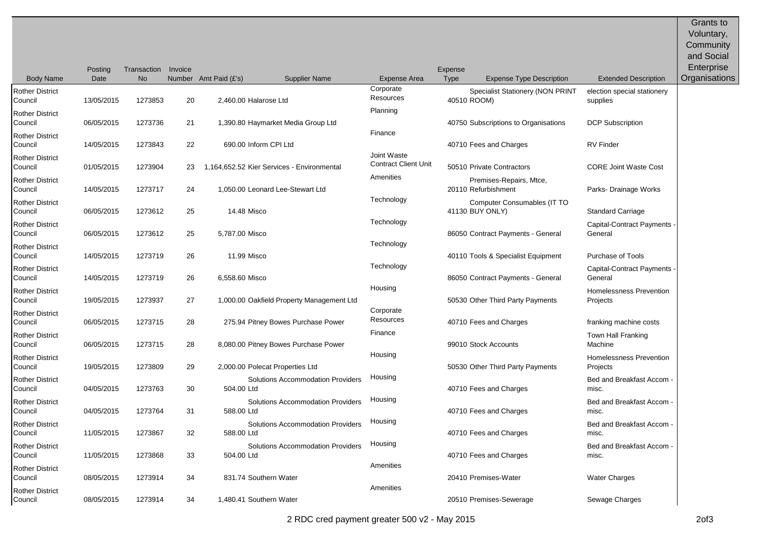|                                   | Posting    | Transaction | Invoice |                                                 |                                            | Expense     |                                                |                                             | Voluntary,<br>Community<br>and Social<br>Enterprise |
|-----------------------------------|------------|-------------|---------|-------------------------------------------------|--------------------------------------------|-------------|------------------------------------------------|---------------------------------------------|-----------------------------------------------------|
| <b>Body Name</b>                  | Date       | <b>No</b>   |         | Number Amt Paid (£'s)<br><b>Supplier Name</b>   | Expense Area                               | Type        | <b>Expense Type Description</b>                | <b>Extended Description</b>                 | Organisations                                       |
| <b>Rother District</b><br>Council | 13/05/2015 | 1273853     | 20      | 2,460.00 Halarose Ltd                           | Corporate<br>Resources<br>Planning         | 40510 ROOM) | Specialist Stationery (NON PRINT               | election special stationery<br>supplies     |                                                     |
| <b>Rother District</b><br>Council | 06/05/2015 | 1273736     | 21      | 1,390.80 Haymarket Media Group Ltd              |                                            |             | 40750 Subscriptions to Organisations           | <b>DCP Subscription</b>                     |                                                     |
| <b>Rother District</b><br>Council | 14/05/2015 | 1273843     | 22      | 690.00 Inform CPI Ltd                           | Finance                                    |             | 40710 Fees and Charges                         | <b>RV</b> Finder                            |                                                     |
| <b>Rother District</b><br>Council | 01/05/2015 | 1273904     | 23      | 1,164,652.52 Kier Services - Environmental      | Joint Waste<br><b>Contract Client Unit</b> |             | 50510 Private Contractors                      | <b>CORE Joint Waste Cost</b>                |                                                     |
| <b>Rother District</b><br>Council | 14/05/2015 | 1273717     | 24      | 1,050.00 Leonard Lee-Stewart Ltd                | Amenities                                  |             | Premises-Repairs, Mtce,<br>20110 Refurbishment | Parks- Drainage Works                       |                                                     |
| <b>Rother District</b><br>Council | 06/05/2015 | 1273612     | 25      | 14.48 Misco                                     | Technology                                 |             | Computer Consumables (IT TO<br>41130 BUY ONLY) | <b>Standard Carriage</b>                    |                                                     |
| <b>Rother District</b><br>Council | 06/05/2015 | 1273612     | 25      | 5,787.00 Misco                                  | Technology                                 |             | 86050 Contract Payments - General              | <b>Capital-Contract Payments</b><br>General |                                                     |
| <b>Rother District</b><br>Council | 14/05/2015 | 1273719     | 26      | 11.99 Misco                                     | Technology                                 |             | 40110 Tools & Specialist Equipment             | <b>Purchase of Tools</b>                    |                                                     |
| <b>Rother District</b><br>Council | 14/05/2015 | 1273719     | 26      | 6,558.60 Misco                                  | Technology                                 |             | 86050 Contract Payments - General              | Capital-Contract Payments -<br>General      |                                                     |
| <b>Rother District</b><br>Council | 19/05/2015 | 1273937     | 27      | 1,000.00 Oakfield Property Management Ltd       | Housing                                    |             | 50530 Other Third Party Payments               | Homelessness Prevention<br>Projects         |                                                     |
| <b>Rother District</b><br>Council | 06/05/2015 | 1273715     | 28      | 275.94 Pitney Bowes Purchase Power              | Corporate<br>Resources                     |             | 40710 Fees and Charges                         | franking machine costs                      |                                                     |
| <b>Rother District</b><br>Council | 06/05/2015 | 1273715     | 28      | 8,080.00 Pitney Bowes Purchase Power            | Finance                                    |             | 99010 Stock Accounts                           | <b>Town Hall Franking</b><br>Machine        |                                                     |
| <b>Rother District</b><br>Council | 19/05/2015 | 1273809     | 29      | 2,000.00 Polecat Properties Ltd                 | Housing                                    |             | 50530 Other Third Party Payments               | Homelessness Prevention<br>Projects         |                                                     |
| <b>Rother District</b><br>Council | 04/05/2015 | 1273763     | 30      | Solutions Accommodation Providers<br>504.00 Ltd | Housing                                    |             | 40710 Fees and Charges                         | Bed and Breakfast Accom -<br>misc.          |                                                     |
| <b>Rother District</b><br>Council | 04/05/2015 | 1273764     | 31      | Solutions Accommodation Providers<br>588.00 Ltd | Housing                                    |             | 40710 Fees and Charges                         | Bed and Breakfast Accom<br>misc.            |                                                     |
| <b>Rother District</b><br>Council | 11/05/2015 | 1273867     | 32      | Solutions Accommodation Providers<br>588.00 Ltd | Housing                                    |             | 40710 Fees and Charges                         | Bed and Breakfast Accom<br>misc.            |                                                     |
| <b>Rother District</b><br>Council | 11/05/2015 | 1273868     | 33      | Solutions Accommodation Providers<br>504.00 Ltd | Housing                                    |             | 40710 Fees and Charges                         | Bed and Breakfast Accom<br>misc.            |                                                     |
| <b>Rother District</b><br>Council | 08/05/2015 | 1273914     | 34      | 831.74 Southern Water                           | Amenities                                  |             | 20410 Premises-Water                           | <b>Water Charges</b>                        |                                                     |
| <b>Rother District</b><br>Council | 08/05/2015 | 1273914     | 34      | 1,480.41 Southern Water                         | Amenities                                  |             | 20510 Premises-Sewerage                        | Sewage Charges                              |                                                     |

Grants to